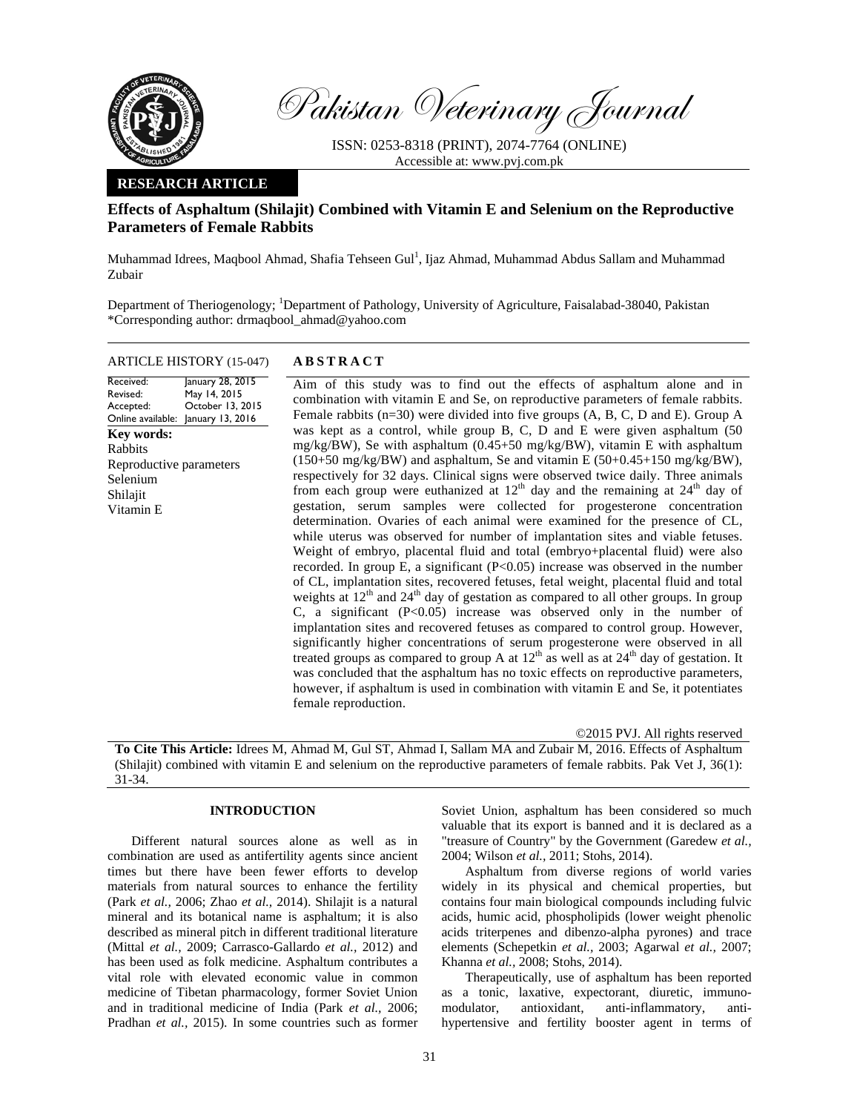

Pakistan Veterinary Journal

ISSN: 0253-8318 (PRINT), 2074-7764 (ONLINE) Accessible at: www.pvj.com.pk

## **RESEARCH ARTICLE**

# **Effects of Asphaltum (Shilajit) Combined with Vitamin E and Selenium on the Reproductive Parameters of Female Rabbits**

Muhammad Idrees, Maqbool Ahmad, Shafia Tehseen Gul<sup>1</sup>, Ijaz Ahmad, Muhammad Abdus Sallam and Muhammad Zubair

Department of Theriogenology; <sup>1</sup>Department of Pathology, University of Agriculture, Faisalabad-38040, Pakistan \*Corresponding author: drmaqbool\_ahmad@yahoo.com

|           | <b>ARTICLE HISTORY</b> (15-047) | <b>ABSTRACT</b>   |  |  |
|-----------|---------------------------------|-------------------|--|--|
| Received: | January 28, 2015                | Aim of this study |  |  |

Revised: Accepted: Online available: January 13, 2016 May 14, 2015 October 13, 2015 **Key words:**  Rabbits Reproductive parameters Selenium Shilajit Vitamin E

 Aim of this study was to find out the effects of asphaltum alone and in combination with vitamin E and Se, on reproductive parameters of female rabbits. Female rabbits (n=30) were divided into five groups (A, B, C, D and E). Group A was kept as a control, while group B, C, D and E were given asphaltum (50 mg/kg/BW), Se with asphaltum (0.45+50 mg/kg/BW), vitamin E with asphaltum  $(150+50 \text{ mg/kg/BW})$  and asphaltum, Se and vitamin E  $(50+0.45+150 \text{ mg/kg/BW})$ , respectively for 32 days. Clinical signs were observed twice daily. Three animals from each group were euthanized at  $12<sup>th</sup>$  day and the remaining at  $24<sup>th</sup>$  day of gestation, serum samples were collected for progesterone concentration determination. Ovaries of each animal were examined for the presence of CL, while uterus was observed for number of implantation sites and viable fetuses. Weight of embryo, placental fluid and total (embryo+placental fluid) were also recorded. In group E, a significant  $(P<0.05)$  increase was observed in the number of CL, implantation sites, recovered fetuses, fetal weight, placental fluid and total weights at  $12<sup>th</sup>$  and  $24<sup>th</sup>$  day of gestation as compared to all other groups. In group C, a significant  $(P<0.05)$  increase was observed only in the number of implantation sites and recovered fetuses as compared to control group. However, significantly higher concentrations of serum progesterone were observed in all treated groups as compared to group A at  $12<sup>th</sup>$  as well as at  $24<sup>th</sup>$  day of gestation. It was concluded that the asphaltum has no toxic effects on reproductive parameters, however, if asphaltum is used in combination with vitamin E and Se, it potentiates female reproduction.

©2015 PVJ. All rights reserved

**To Cite This Article:** Idrees M, Ahmad M, Gul ST, Ahmad I, Sallam MA and Zubair M, 2016. Effects of Asphaltum (Shilajit) combined with vitamin E and selenium on the reproductive parameters of female rabbits. Pak Vet J, 36(1): 31-34.

## **INTRODUCTION**

Different natural sources alone as well as in combination are used as antifertility agents since ancient times but there have been fewer efforts to develop materials from natural sources to enhance the fertility (Park *et al.,* 2006; Zhao *et al.,* 2014). Shilajit is a natural mineral and its botanical name is asphaltum; it is also described as mineral pitch in different traditional literature (Mittal *et al.,* 2009; Carrasco-Gallardo *et al.,* 2012) and has been used as folk medicine. Asphaltum contributes a vital role with elevated economic value in common medicine of Tibetan pharmacology, former Soviet Union and in traditional medicine of India (Park *et al.,* 2006; Pradhan *et al.,* 2015). In some countries such as former

Soviet Union, asphaltum has been considered so much valuable that its export is banned and it is declared as a "treasure of Country" by the Government (Garedew *et al.,* 2004; Wilson *et al.,* 2011; Stohs, 2014).

Asphaltum from diverse regions of world varies widely in its physical and chemical properties, but contains four main biological compounds including fulvic acids, humic acid, phospholipids (lower weight phenolic acids triterpenes and dibenzo-alpha pyrones) and trace elements (Schepetkin *et al.,* 2003; Agarwal *et al.,* 2007; Khanna *et al.,* 2008; Stohs, 2014).

Therapeutically, use of asphaltum has been reported as a tonic, laxative, expectorant, diuretic, immunomodulator, antioxidant, anti-inflammatory, antihypertensive and fertility booster agent in terms of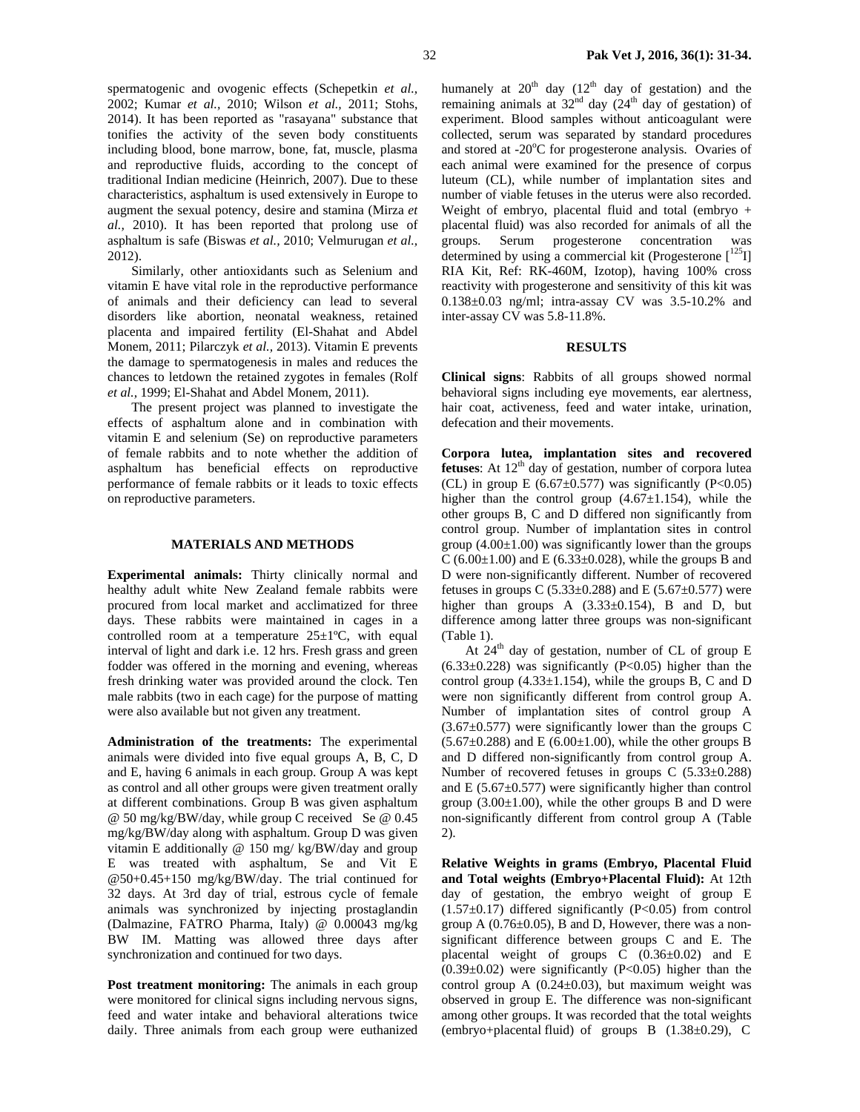spermatogenic and ovogenic effects (Schepetkin *et al.,* 2002; Kumar *et al.,* 2010; Wilson *et al.,* 2011; Stohs, 2014). It has been reported as "rasayana" substance that tonifies the activity of the seven body constituents including blood, bone marrow, bone, fat, muscle, plasma and reproductive fluids, according to the concept of traditional Indian medicine (Heinrich, 2007). Due to these characteristics, asphaltum is used extensively in Europe to augment the sexual potency, desire and stamina (Mirza *et al.,* 2010). It has been reported that prolong use of asphaltum is safe (Biswas *et al.,* 2010; Velmurugan *et al.,* 2012).

Similarly, other antioxidants such as Selenium and vitamin E have vital role in the reproductive performance of animals and their deficiency can lead to several disorders like abortion, neonatal weakness, retained placenta and impaired fertility (El-Shahat and Abdel Monem, 2011; Pilarczyk *et al.,* 2013). Vitamin E prevents the damage to spermatogenesis in males and reduces the chances to letdown the retained zygotes in females (Rolf *et al.,* 1999; El-Shahat and Abdel Monem, 2011).

The present project was planned to investigate the effects of asphaltum alone and in combination with vitamin E and selenium (Se) on reproductive parameters of female rabbits and to note whether the addition of asphaltum has beneficial effects on reproductive performance of female rabbits or it leads to toxic effects on reproductive parameters.

#### **MATERIALS AND METHODS**

**Experimental animals:** Thirty clinically normal and healthy adult white New Zealand female rabbits were procured from local market and acclimatized for three days. These rabbits were maintained in cages in a controlled room at a temperature  $25 \pm 1^{\circ}C$ , with equal interval of light and dark i.e. 12 hrs. Fresh grass and green fodder was offered in the morning and evening, whereas fresh drinking water was provided around the clock. Ten male rabbits (two in each cage) for the purpose of matting were also available but not given any treatment.

**Administration of the treatments:** The experimental animals were divided into five equal groups A, B, C, D and E, having 6 animals in each group. Group A was kept as control and all other groups were given treatment orally at different combinations. Group B was given asphaltum @ 50 mg/kg/BW/day, while group C received Se @ 0.45 mg/kg/BW/day along with asphaltum. Group D was given vitamin E additionally @ 150 mg/ kg/BW/day and group E was treated with asphaltum, Se and Vit E @50+0.45+150 mg/kg/BW/day. The trial continued for 32 days. At 3rd day of trial, estrous cycle of female animals was synchronized by injecting prostaglandin (Dalmazine, FATRO Pharma, Italy) @ 0.00043 mg/kg BW IM. Matting was allowed three days after synchronization and continued for two days.

Post treatment monitoring: The animals in each group were monitored for clinical signs including nervous signs, feed and water intake and behavioral alterations twice daily. Three animals from each group were euthanized humanely at  $20<sup>th</sup>$  day (12<sup>th</sup> day of gestation) and the remaining animals at  $32<sup>nd</sup>$  day  $(24<sup>th</sup>$  day of gestation) of experiment. Blood samples without anticoagulant were collected, serum was separated by standard procedures and stored at -20°C for progesterone analysis. Ovaries of each animal were examined for the presence of corpus luteum (CL), while number of implantation sites and number of viable fetuses in the uterus were also recorded. Weight of embryo, placental fluid and total (embryo + placental fluid) was also recorded for animals of all the groups. Serum progesterone concentration was determined by using a commercial kit (Progesterone  $\lceil^{125} \text{I} \rceil$ RIA Kit, Ref: RK-460M, Izotop), having 100% cross reactivity with progesterone and sensitivity of this kit was 0.138±0.03 ng/ml; intra-assay CV was 3.5-10.2% and inter-assay CV was 5.8-11.8%.

### **RESULTS**

**Clinical signs**: Rabbits of all groups showed normal behavioral signs including eye movements, ear alertness, hair coat, activeness, feed and water intake, urination, defecation and their movements.

**Corpora lutea, implantation sites and recovered fetuses**: At  $12<sup>th</sup>$  day of gestation, number of corpora lutea (CL) in group E (6.67 $\pm$ 0.577) was significantly (P<0.05) higher than the control group  $(4.67 \pm 1.154)$ , while the other groups B, C and D differed non significantly from control group. Number of implantation sites in control group  $(4.00\pm1.00)$  was significantly lower than the groups C (6.00 $\pm$ 1.00) and E (6.33 $\pm$ 0.028), while the groups B and D were non-significantly different. Number of recovered fetuses in groups C (5.33±0.288) and E (5.67±0.577) were higher than groups A  $(3.33\pm0.154)$ , B and D, but difference among latter three groups was non-significant (Table 1).

At  $24<sup>th</sup>$  day of gestation, number of CL of group E  $(6.33\pm0.228)$  was significantly  $(P<0.05)$  higher than the control group  $(4.33\pm1.154)$ , while the groups B, C and D were non significantly different from control group A. Number of implantation sites of control group A  $(3.67\pm0.577)$  were significantly lower than the groups C  $(5.67\pm0.288)$  and E  $(6.00\pm1.00)$ , while the other groups B and D differed non-significantly from control group A. Number of recovered fetuses in groups C (5.33±0.288) and E  $(5.67\pm0.577)$  were significantly higher than control group  $(3.00\pm1.00)$ , while the other groups B and D were non-significantly different from control group A (Table 2).

**Relative Weights in grams (Embryo, Placental Fluid and Total weights (Embryo+Placental Fluid):** At 12th day of gestation, the embryo weight of group E  $(1.57\pm0.17)$  differed significantly  $(P<0.05)$  from control group A  $(0.76\pm0.05)$ , B and D, However, there was a nonsignificant difference between groups C and E. The placental weight of groups C (0.36±0.02) and E  $(0.39\pm0.02)$  were significantly (P<0.05) higher than the control group A  $(0.24 \pm 0.03)$ , but maximum weight was observed in group E. The difference was non-significant among other groups. It was recorded that the total weights (embryo+placental fluid) of groups B  $(1.38\pm0.29)$ , C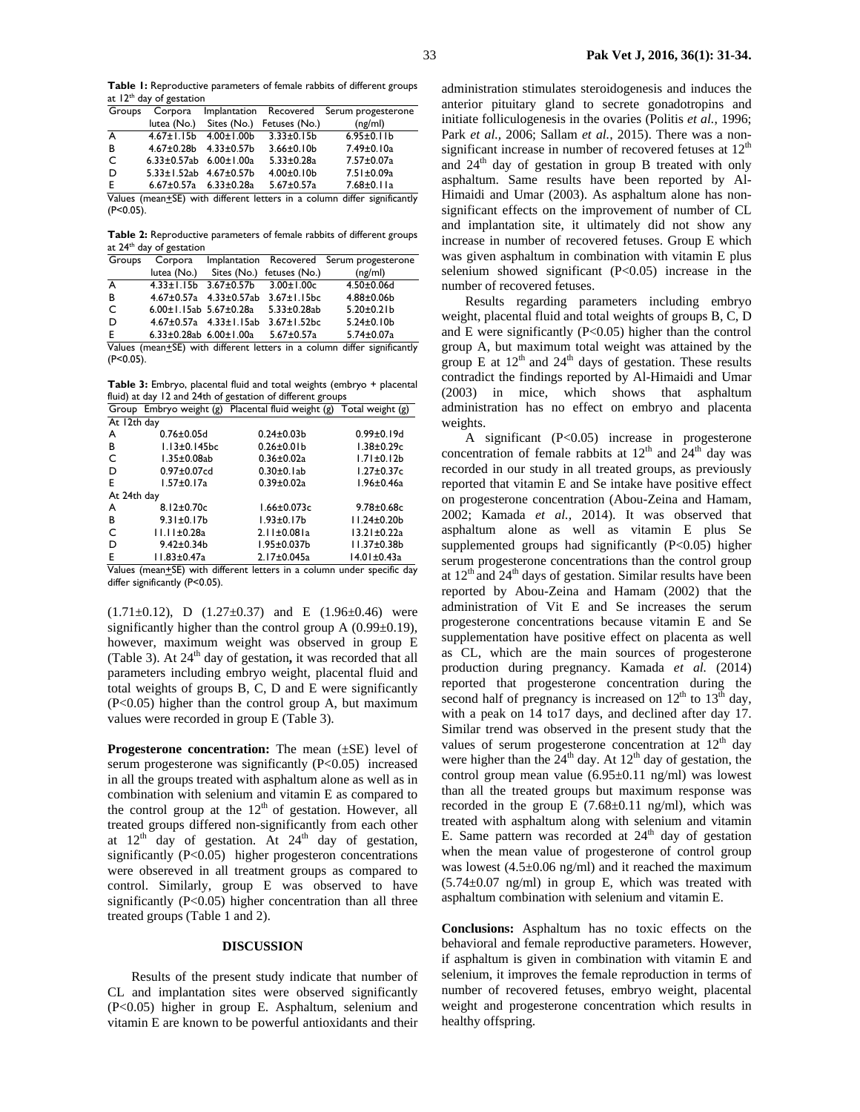**Table 1:** Reproductive parameters of female rabbits of different groups at 12<sup>th</sup> day of gestation

| Groups |                                    |                                     |                                       | Corpora Implantation Recovered Serum progesterone                        |
|--------|------------------------------------|-------------------------------------|---------------------------------------|--------------------------------------------------------------------------|
|        |                                    |                                     | lutea (No.) Sites (No.) Fetuses (No.) | (ng/ml)                                                                  |
| A      |                                    | $4.67 \pm 1.15b$ $4.00 \pm 1.00b$   | $3.33 \pm 0.15b$                      | $6.95 \pm 0.11 b$                                                        |
| B      |                                    | $4.67 \pm 0.28b$ $4.33 \pm 0.57b$   | $3.66 \pm 0.10 b$                     | 7.49±0.10a                                                               |
| C      | 6.33 $\pm$ 0.57ab 6.00 $\pm$ 1.00a |                                     | $5.33 \pm 0.28$ a                     | 7.57±0.07a                                                               |
| D      | $5.33 \pm 1.52ab$ 4.67 $\pm$ 0.57b |                                     | $4.00 \pm 0.10 b$                     | 7.51±0.09a                                                               |
| Ε      |                                    | $6.67 \pm 0.57$ a $6.33 \pm 0.28$ a | $5.67 \pm 0.57$ a                     | $7.68 \pm 0.11a$                                                         |
|        |                                    |                                     |                                       | Values (mean+SE) with different letters in a column differ significantly |

an<u>+</u>SE) with different letters in a column differ significantl<sub>)</sub>  $(P<0.05)$ .

**Table 2:** Reproductive parameters of female rabbits of different groups at 24<sup>th</sup> day of gestation

| Groups | Corpora                             |                                      |                                                    | Implantation Recovered Serum progesterone |
|--------|-------------------------------------|--------------------------------------|----------------------------------------------------|-------------------------------------------|
|        |                                     |                                      | lutea (No.) Sites (No.) fetuses (No.)              | (ng/ml)                                   |
| A      |                                     |                                      | $4.33 \pm 1.15b$ $3.67 \pm 0.57b$ $3.00 \pm 1.00c$ | $4.50 \pm 0.06$ d                         |
| B      |                                     | $4.67 \pm 0.57$ a $4.33 \pm 0.57$ ab | $3.67 \pm 1.15$ bc                                 | $4.88 \pm 0.06 b$                         |
| C      | $6.00 \pm 1.15$ ab 5.67 $\pm$ 0.28a |                                      | $5.33 \pm 0.28$ ab                                 | $5.20 \pm 0.21 b$                         |
| D      |                                     | $4.67 \pm 0.57$ a $4.33 \pm 1.15$ ab | $3.67 \pm 1.52$ bc                                 | $5.24 \pm 0.10 b$                         |
| E      | 6.33±0.28ab $6.00 \pm 1.00a$        |                                      | $5.67 \pm 0.57a$                                   | $5.74 \pm 0.07$ a                         |
|        |                                     |                                      |                                                    |                                           |

Values (mean+SE) with different letters in a column differ significantly (P<0.05).

**Table 3:** Embryo, placental fluid and total weights (embryo + placental fluid) at day 12 and 24th of gestation of different groups

| Group                    | Embryo weight (g)  | Placental fluid weight (g) | Total weight (g)  |  |  |  |
|--------------------------|--------------------|----------------------------|-------------------|--|--|--|
| $\overline{At}$ 12th day |                    |                            |                   |  |  |  |
| A                        | $0.76 \pm 0.05$ d  | $0.24 \pm 0.03 b$          | $0.99 \pm 0.19$ d |  |  |  |
| в                        | $1.13\pm0.145$ bc  | $0.26 \pm 0.01 b$          | $1.38 + 0.29c$    |  |  |  |
| C                        | $1.35 \pm 0.08$ ab | $0.36 \pm 0.02a$           | $1.71 \pm 0.12b$  |  |  |  |
| D                        | $0.97 \pm 0.07$ cd | $0.30 \pm 0.1$ ab          | $1.27 \pm 0.37c$  |  |  |  |
| E                        | $1.57 \pm 0.17$ a  | $0.39 \pm 0.02a$           | 1.96±0.46a        |  |  |  |
| At 24th day              |                    |                            |                   |  |  |  |
| A                        | $8.12 \pm 0.70c$   | $1.66 \pm 0.073c$          | $9.78 \pm 0.68$ c |  |  |  |
| в                        | $9.31 \pm 0.17$ b  | $1.93 \pm 0.17$ b          | $11.24 \pm 0.20$  |  |  |  |
| C                        | $11.11 \pm 0.28$ a | $2.11 \pm 0.081$ a         | $13.21 \pm 0.22a$ |  |  |  |
| D                        | $9.42 \pm 0.34$    | $1.95 \pm 0.037$ b         | 11.37±0.38b       |  |  |  |
| E                        | 11.83±0.47a        | 2.17±0.045a                | 14.01±0.43a       |  |  |  |

Values (mean+SE) with different letters in a column under specific day differ significantly (P<0.05).

 $(1.71\pm0.12)$ , D  $(1.27\pm0.37)$  and E  $(1.96\pm0.46)$  were significantly higher than the control group A  $(0.99\pm0.19)$ , however, maximum weight was observed in group E (Table 3). At 24<sup>th</sup> day of gestation, it was recorded that all parameters including embryo weight, placental fluid and total weights of groups B, C, D and E were significantly (P<0.05) higher than the control group A, but maximum values were recorded in group E (Table 3).

**Progesterone concentration:** The mean ( $\pm$ SE) level of serum progesterone was significantly (P<0.05) increased in all the groups treated with asphaltum alone as well as in combination with selenium and vitamin E as compared to the control group at the  $12<sup>th</sup>$  of gestation. However, all treated groups differed non-significantly from each other at  $12<sup>th</sup>$  day of gestation. At  $24<sup>th</sup>$  day of gestation, significantly  $(P<0.05)$  higher progesteron concentrations were obsereved in all treatment groups as compared to control. Similarly, group E was observed to have significantly (P<0.05) higher concentration than all three treated groups (Table 1 and 2).

#### **DISCUSSION**

Results of the present study indicate that number of CL and implantation sites were observed significantly (P<0.05) higher in group E. Asphaltum, selenium and vitamin E are known to be powerful antioxidants and their

administration stimulates steroidogenesis and induces the anterior pituitary gland to secrete gonadotropins and initiate folliculogenesis in the ovaries (Politis *et al.*, 1996; Park *et al.,* 2006; Sallam *et al.,* 2015). There was a nonsignificant increase in number of recovered fetuses at  $12<sup>th</sup>$ and  $24<sup>th</sup>$  day of gestation in group B treated with only asphaltum. Same results have been reported by Al-Himaidi and Umar (2003). As asphaltum alone has nonsignificant effects on the improvement of number of CL and implantation site, it ultimately did not show any increase in number of recovered fetuses. Group E which was given asphaltum in combination with vitamin E plus selenium showed significant (P<0.05) increase in the number of recovered fetuses.

Results regarding parameters including embryo weight, placental fluid and total weights of groups B, C, D and E were significantly (P<0.05) higher than the control group A, but maximum total weight was attained by the group E at  $12<sup>th</sup>$  and  $24<sup>th</sup>$  days of gestation. These results contradict the findings reported by Al-Himaidi and Umar (2003) in mice, which shows that asphaltum administration has no effect on embryo and placenta weights.

A significant (P<0.05) increase in progesterone concentration of female rabbits at  $12<sup>th</sup>$  and  $24<sup>th</sup>$  day was recorded in our study in all treated groups, as previously reported that vitamin E and Se intake have positive effect on progesterone concentration (Abou-Zeina and Hamam, 2002; Kamada *et al.,* 2014). It was observed that asphaltum alone as well as vitamin E plus Se supplemented groups had significantly (P<0.05) higher serum progesterone concentrations than the control group at  $12<sup>th</sup>$  and  $24<sup>th</sup>$  days of gestation. Similar results have been reported by Abou-Zeina and Hamam (2002) that the administration of Vit E and Se increases the serum progesterone concentrations because vitamin E and Se supplementation have positive effect on placenta as well as CL, which are the main sources of progesterone production during pregnancy. Kamada *et al.* (2014) reported that progesterone concentration during the second half of pregnancy is increased on  $12<sup>th</sup>$  to  $13<sup>th</sup>$  day, with a peak on 14 to17 days, and declined after day 17. Similar trend was observed in the present study that the values of serum progesterone concentration at  $12<sup>th</sup>$  day were higher than the  $24<sup>th</sup>$  day. At  $12<sup>th</sup>$  day of gestation, the control group mean value  $(6.95\pm0.11 \text{ ng/ml})$  was lowest than all the treated groups but maximum response was recorded in the group E  $(7.68 \pm 0.11 \text{ ng/ml})$ , which was treated with asphaltum along with selenium and vitamin E. Same pattern was recorded at  $24<sup>th</sup>$  day of gestation when the mean value of progesterone of control group was lowest  $(4.5\pm0.06 \text{ ng/ml})$  and it reached the maximum  $(5.74 \pm 0.07 \text{ ng/ml})$  in group E, which was treated with asphaltum combination with selenium and vitamin E.

**Conclusions:** Asphaltum has no toxic effects on the behavioral and female reproductive parameters. However, if asphaltum is given in combination with vitamin E and selenium, it improves the female reproduction in terms of number of recovered fetuses, embryo weight, placental weight and progesterone concentration which results in healthy offspring.